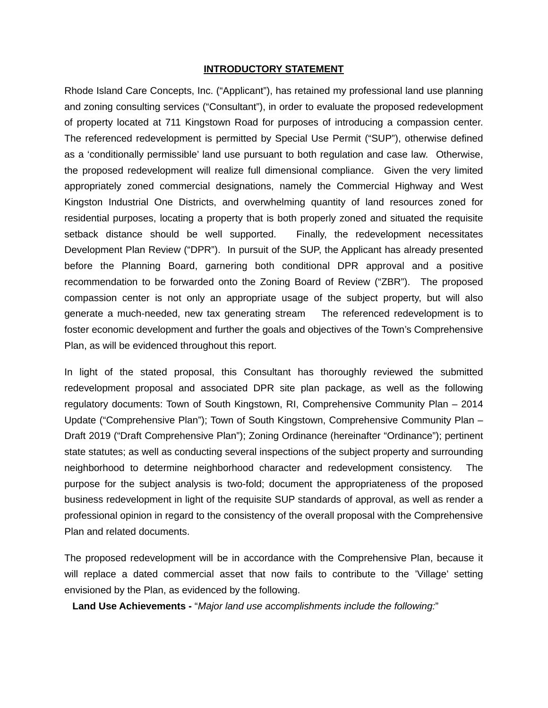#### **INTRODUCTORY STATEMENT**

Rhode Island Care Concepts, Inc. ("Applicant"), has retained my professional land use planning and zoning consulting services ("Consultant"), in order to evaluate the proposed redevelopment of property located at 711 Kingstown Road for purposes of introducing a compassion center. The referenced redevelopment is permitted by Special Use Permit ("SUP"), otherwise defined as a 'conditionally permissible' land use pursuant to both regulation and case law. Otherwise, the proposed redevelopment will realize full dimensional compliance. Given the very limited appropriately zoned commercial designations, namely the Commercial Highway and West Kingston Industrial One Districts, and overwhelming quantity of land resources zoned for residential purposes, locating a property that is both properly zoned and situated the requisite setback distance should be well supported. Finally, the redevelopment necessitates Development Plan Review ("DPR"). In pursuit of the SUP, the Applicant has already presented before the Planning Board, garnering both conditional DPR approval and a positive recommendation to be forwarded onto the Zoning Board of Review ("ZBR"). The proposed compassion center is not only an appropriate usage of the subject property, but will also generate a much-needed, new tax generating stream The referenced redevelopment is to foster economic development and further the goals and objectives of the Town's Comprehensive Plan, as will be evidenced throughout this report.

In light of the stated proposal, this Consultant has thoroughly reviewed the submitted redevelopment proposal and associated DPR site plan package, as well as the following regulatory documents: Town of South Kingstown, RI, Comprehensive Community Plan – 2014 Update ("Comprehensive Plan"); Town of South Kingstown, Comprehensive Community Plan – Draft 2019 ("Draft Comprehensive Plan"); Zoning Ordinance (hereinafter "Ordinance"); pertinent state statutes; as well as conducting several inspections of the subject property and surrounding neighborhood to determine neighborhood character and redevelopment consistency. The purpose for the subject analysis is two-fold; document the appropriateness of the proposed business redevelopment in light of the requisite SUP standards of approval, as well as render a professional opinion in regard to the consistency of the overall proposal with the Comprehensive Plan and related documents.

The proposed redevelopment will be in accordance with the Comprehensive Plan, because it will replace a dated commercial asset that now fails to contribute to the 'Village' setting envisioned by the Plan, as evidenced by the following.

**Land Use Achievements -** "*Major land use accomplishments include the following:*"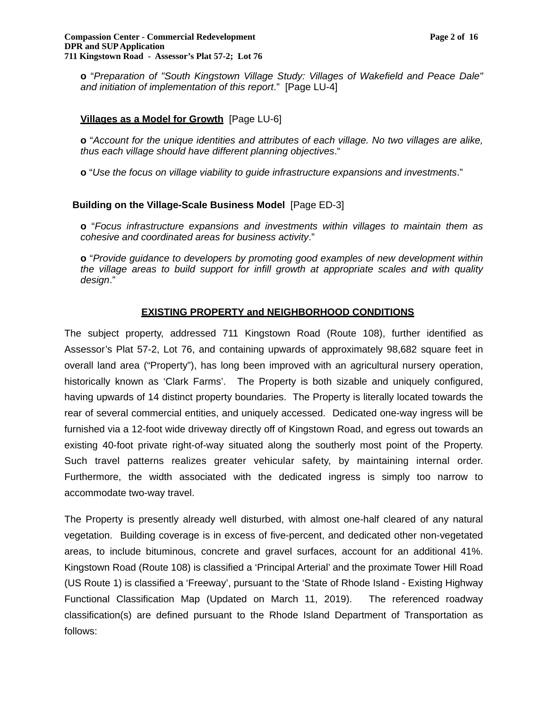**o** "*Preparation of "South Kingstown Village Study: Villages of Wakefield and Peace Dale" and initiation of implementation of this report*." [Page LU-4]

### **Villages as a Model for Growth** [Page LU-6]

**o** "*Account for the unique identities and attributes of each village. No two villages are alike, thus each village should have different planning objectives*."

**o** "*Use the focus on village viability to guide infrastructure expansions and investments*."

# **Building on the Village-Scale Business Model** [Page ED-3]

**o** "*Focus infrastructure expansions and investments within villages to maintain them as cohesive and coordinated areas for business activity*."

**o** "*Provide guidance to developers by promoting good examples of new development within the village areas to build support for infill growth at appropriate scales and with quality design*."

# **EXISTING PROPERTY and NEIGHBORHOOD CONDITIONS**

The subject property, addressed 711 Kingstown Road (Route 108), further identified as Assessor's Plat 57-2, Lot 76, and containing upwards of approximately 98,682 square feet in overall land area ("Property"), has long been improved with an agricultural nursery operation, historically known as 'Clark Farms'. The Property is both sizable and uniquely configured, having upwards of 14 distinct property boundaries. The Property is literally located towards the rear of several commercial entities, and uniquely accessed. Dedicated one-way ingress will be furnished via a 12-foot wide driveway directly off of Kingstown Road, and egress out towards an existing 40-foot private right-of-way situated along the southerly most point of the Property. Such travel patterns realizes greater vehicular safety, by maintaining internal order. Furthermore, the width associated with the dedicated ingress is simply too narrow to accommodate two-way travel.

The Property is presently already well disturbed, with almost one-half cleared of any natural vegetation. Building coverage is in excess of five-percent, and dedicated other non-vegetated areas, to include bituminous, concrete and gravel surfaces, account for an additional 41%. Kingstown Road (Route 108) is classified a 'Principal Arterial' and the proximate Tower Hill Road (US Route 1) is classified a 'Freeway', pursuant to the 'State of Rhode Island - Existing Highway Functional Classification Map (Updated on March 11, 2019). The referenced roadway classification(s) are defined pursuant to the Rhode Island Department of Transportation as follows: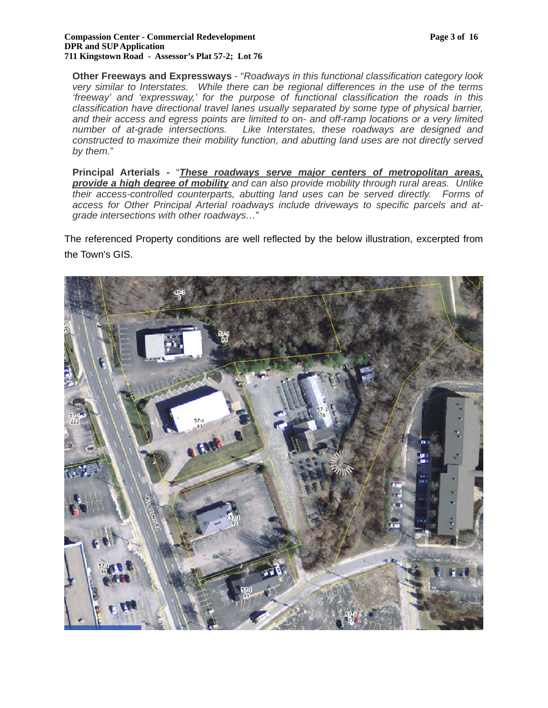#### **Compassion Center - Commercial Redevelopment Page 3 of 16 DPR and SUP Application 711 Kingstown Road - Assessor's Plat 57-2; Lot 76**

**Other Freeways and Expressways** - "*Roadways in this functional classification category look very similar to Interstates. While there can be regional differences in the use of the terms 'freeway' and 'expressway,' for the purpose of functional classification the roads in this classification have directional travel lanes usually separated by some type of physical barrier, and their access and egress points are limited to on- and off-ramp locations or a very limited number of at-grade intersections. Like Interstates, these roadways are designed and constructed to maximize their mobility function, and abutting land uses are not directly served by them.*"

**Principal Arterials -** "*These roadways serve major centers of metropolitan areas, provide a high degree of mobility and can also provide mobility through rural areas. Unlike their access-controlled counterparts, abutting land uses can be served directly. Forms of access for Other Principal Arterial roadways include driveways to specific parcels and atgrade intersections with other roadways…*"

The referenced Property conditions are well reflected by the below illustration, excerpted from the Town's GIS.

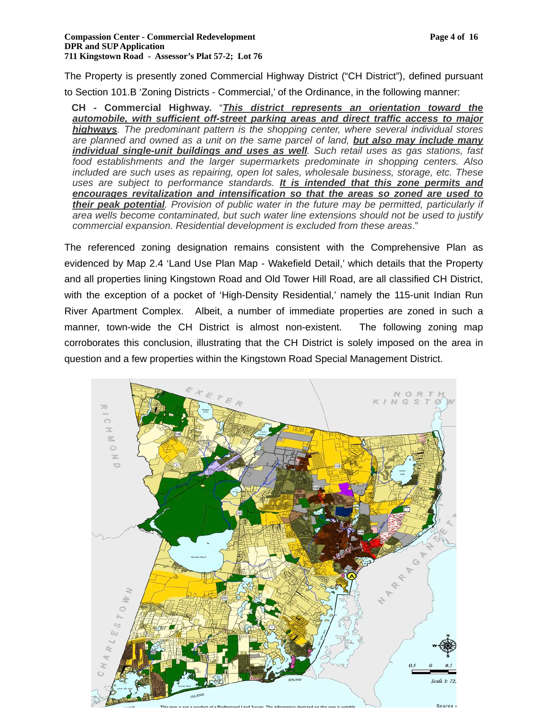The Property is presently zoned Commercial Highway District ("CH District"), defined pursuant to Section 101.B 'Zoning Districts - Commercial,' of the Ordinance, in the following manner:

**CH - Commercial Highway.** "*This district represents an orientation toward the automobile, with sufficient off-street parking areas and direct traffic access to major highways. The predominant pattern is the shopping center, where several individual stores are planned and owned as a unit on the same parcel of land, but also may include many individual single-unit buildings and uses as well. Such retail uses as gas stations, fast food establishments and the larger supermarkets predominate in shopping centers. Also included are such uses as repairing, open lot sales, wholesale business, storage, etc. These uses are subject to performance standards. It is intended that this zone permits and encourages revitalization and intensification so that the areas so zoned are used to their peak potential. Provision of public water in the future may be permitted, particularly if area wells become contaminated, but such water line extensions should not be used to justify commercial expansion. Residential development is excluded from these areas*."

The referenced zoning designation remains consistent with the Comprehensive Plan as evidenced by Map 2.4 'Land Use Plan Map - Wakefield Detail,' which details that the Property and all properties lining Kingstown Road and Old Tower Hill Road, are all classified CH District, with the exception of a pocket of 'High-Density Residential,' namely the 115-unit Indian Run River Apartment Complex. Albeit, a number of immediate properties are zoned in such a manner, town-wide the CH District is almost non-existent. The following zoning map corroborates this conclusion, illustrating that the CH District is solely imposed on the area in question and a few properties within the Kingstown Road Special Management District.

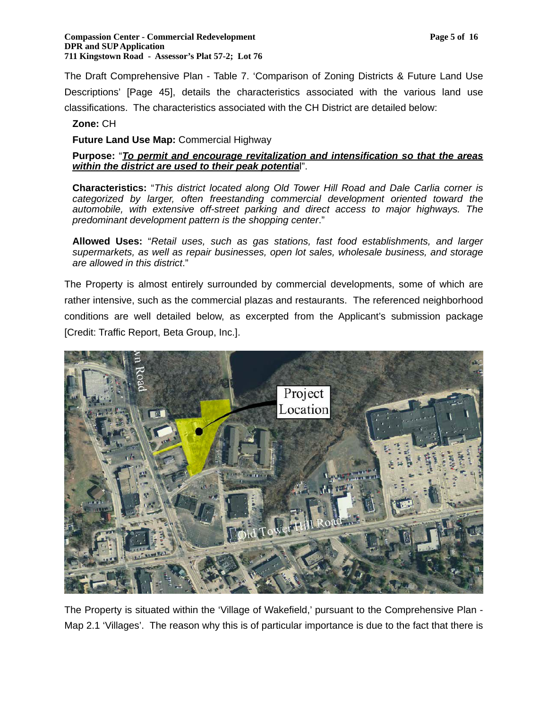#### **Compassion Center - Commercial Redevelopment Page 5 of 16 Page 5 of 16 Page 5 of 16 Page 7 Page 5 of 16 Page 7 Page 7 Page 7 Page 7 Page 7 Page 7 Page 7 Page 7 Page 7 Page 7 Page 7 Page 7 Page 7 Page 7 Page 7 Page 7 Page DPR and SUP Application 711 Kingstown Road - Assessor's Plat 57-2; Lot 76**

The Draft Comprehensive Plan - Table 7. 'Comparison of Zoning Districts & Future Land Use Descriptions' [Page 45], details the characteristics associated with the various land use classifications. The characteristics associated with the CH District are detailed below:

# **Zone:** CH

**Future Land Use Map:** Commercial Highway

# **Purpose:** "*To permit and encourage revitalization and intensification so that the areas within the district are used to their peak potentia*l".

**Characteristics:** "*This district located along Old Tower Hill Road and Dale Carlia corner is categorized by larger, often freestanding commercial development oriented toward the automobile, with extensive off-street parking and direct access to major highways. The predominant development pattern is the shopping center*."

**Allowed Uses:** "*Retail uses, such as gas stations, fast food establishments, and larger supermarkets, as well as repair businesses, open lot sales, wholesale business, and storage are allowed in this district*."

The Property is almost entirely surrounded by commercial developments, some of which are rather intensive, such as the commercial plazas and restaurants. The referenced neighborhood conditions are well detailed below, as excerpted from the Applicant's submission package [Credit: Traffic Report, Beta Group, Inc.].



The Property is situated within the 'Village of Wakefield,' pursuant to the Comprehensive Plan - Map 2.1 'Villages'. The reason why this is of particular importance is due to the fact that there is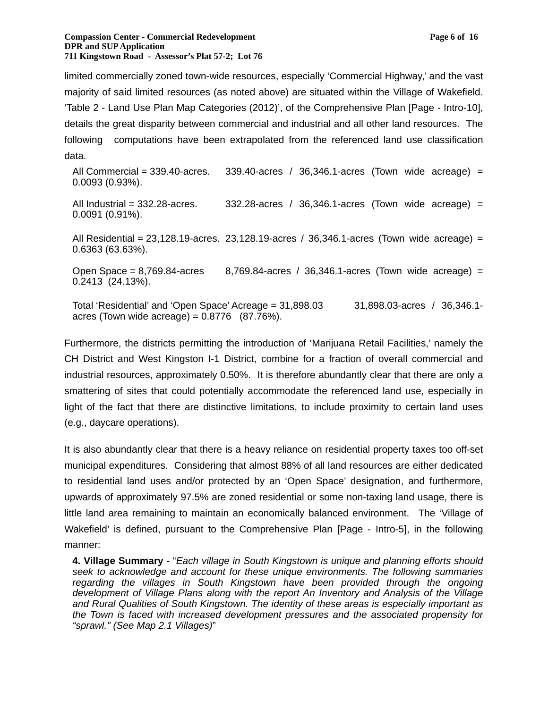limited commercially zoned town-wide resources, especially 'Commercial Highway,' and the vast majority of said limited resources (as noted above) are situated within the Village of Wakefield. 'Table 2 - Land Use Plan Map Categories (2012)', of the Comprehensive Plan [Page - Intro-10], details the great disparity between commercial and industrial and all other land resources. The following computations have been extrapolated from the referenced land use classification data.

All Commercial =  $339.40$ -acres.  $339.40$ -acres /  $36.346.1$ -acres (Town wide acreage) = 0.0093 (0.93%).

All Industrial =  $332.28$ -acres. 332.28-acres /  $36,346.1$ -acres (Town wide acreage) = 0.0091 (0.91%).

All Residential =  $23,128.19$ -acres.  $23,128.19$ -acres /  $36,346.1$ -acres (Town wide acreage) = 0.6363 (63.63%).

Open Space =  $8,769.84$ -acres  $8,769.84$ -acres /  $36,346.1$ -acres (Town wide acreage) = 0.2413 (24.13%).

Total 'Residential' and 'Open Space' Acreage = 31,898.03 31,898.03-acres / 36,346.1 acres (Town wide acreage) =  $0.8776$  (87.76%).

Furthermore, the districts permitting the introduction of 'Marijuana Retail Facilities,' namely the CH District and West Kingston I-1 District, combine for a fraction of overall commercial and industrial resources, approximately 0.50%. It is therefore abundantly clear that there are only a smattering of sites that could potentially accommodate the referenced land use, especially in light of the fact that there are distinctive limitations, to include proximity to certain land uses (e.g., daycare operations).

It is also abundantly clear that there is a heavy reliance on residential property taxes too off-set municipal expenditures. Considering that almost 88% of all land resources are either dedicated to residential land uses and/or protected by an 'Open Space' designation, and furthermore, upwards of approximately 97.5% are zoned residential or some non-taxing land usage, there is little land area remaining to maintain an economically balanced environment. The 'Village of Wakefield' is defined, pursuant to the Comprehensive Plan [Page - Intro-5], in the following manner:

**4. Village Summary -** "*Each village in South Kingstown is unique and planning efforts should seek to acknowledge and account for these unique environments. The following summaries regarding the villages in South Kingstown have been provided through the ongoing development of Village Plans along with the report An Inventory and Analysis of the Village and Rural Qualities of South Kingstown. The identity of these areas is especially important as the Town is faced with increased development pressures and the associated propensity for "sprawl." (See Map 2.1 Villages)*"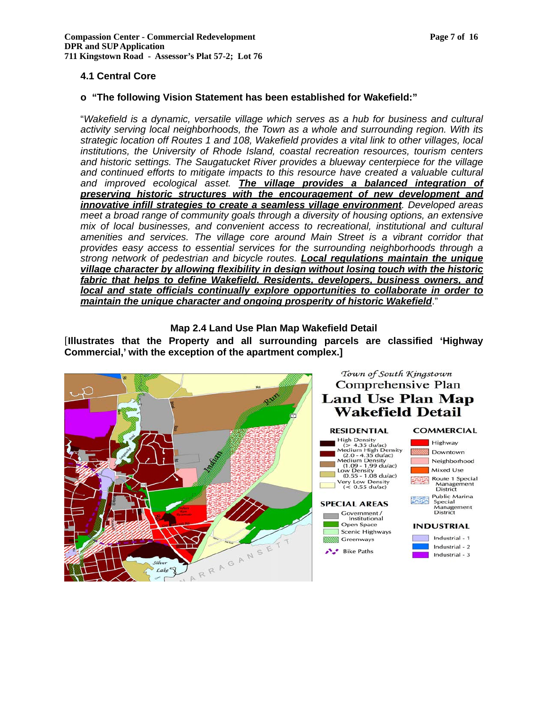# **4.1 Central Core**

### **o "The following Vision Statement has been established for Wakefield:"**

"*Wakefield is a dynamic, versatile village which serves as a hub for business and cultural activity serving local neighborhoods, the Town as a whole and surrounding region. With its strategic location off Routes 1 and 108, Wakefield provides a vital link to other villages, local institutions, the University of Rhode Island, coastal recreation resources, tourism centers and historic settings. The Saugatucket River provides a blueway centerpiece for the village*  and continued efforts to mitigate impacts to this resource have created a valuable cultural *and improved ecological asset. The village provides a balanced integration of preserving historic structures with the encouragement of new development and innovative infill strategies to create a seamless village environment. Developed areas meet a broad range of community goals through a diversity of housing options, an extensive mix of local businesses, and convenient access to recreational, institutional and cultural amenities and services. The village core around Main Street is a vibrant corridor that provides easy access to essential services for the surrounding neighborhoods through a strong network of pedestrian and bicycle routes. Local regulations maintain the unique village character by allowing flexibility in design without losing touch with the historic fabric that helps to define Wakefield. Residents, developers, business owners, and local and state officials continually explore opportunities to collaborate in order to maintain the unique character and ongoing prosperity of historic Wakefield*."

**Map 2.4 Land Use Plan Map Wakefield Detail** 

[**Illustrates that the Property and all surrounding parcels are classified 'Highway Commercial,' with the exception of the apartment complex.]**

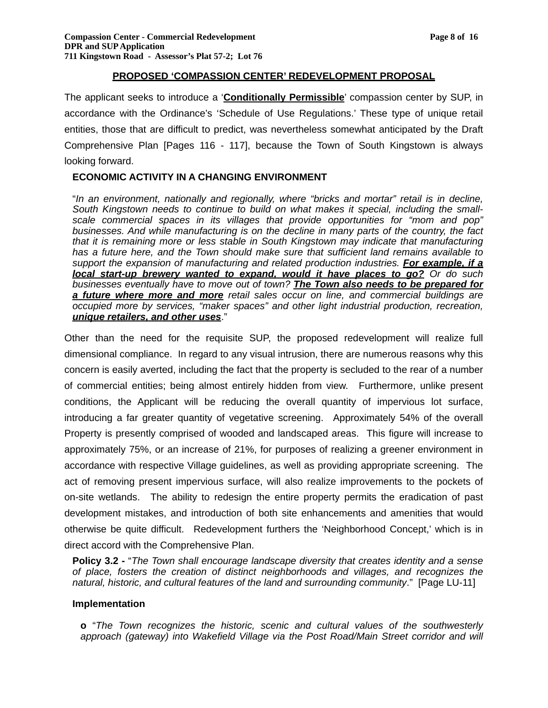### **PROPOSED 'COMPASSION CENTER' REDEVELOPMENT PROPOSAL**

The applicant seeks to introduce a '**Conditionally Permissible**' compassion center by SUP, in accordance with the Ordinance's 'Schedule of Use Regulations.' These type of unique retail entities, those that are difficult to predict, was nevertheless somewhat anticipated by the Draft Comprehensive Plan [Pages 116 - 117], because the Town of South Kingstown is always looking forward.

# **ECONOMIC ACTIVITY IN A CHANGING ENVIRONMENT**

"*In an environment, nationally and regionally, where "bricks and mortar" retail is in decline, South Kingstown needs to continue to build on what makes it special, including the smallscale commercial spaces in its villages that provide opportunities for "mom and pop" businesses. And while manufacturing is on the decline in many parts of the country, the fact that it is remaining more or less stable in South Kingstown may indicate that manufacturing has a future here, and the Town should make sure that sufficient land remains available to support the expansion of manufacturing and related production industries. For example, if a local start-up brewery wanted to expand, would it have places to go? Or do such businesses eventually have to move out of town? The Town also needs to be prepared for a future where more and more retail sales occur on line, and commercial buildings are occupied more by services, "maker spaces" and other light industrial production, recreation, unique retailers, and other uses*."

Other than the need for the requisite SUP, the proposed redevelopment will realize full dimensional compliance. In regard to any visual intrusion, there are numerous reasons why this concern is easily averted, including the fact that the property is secluded to the rear of a number of commercial entities; being almost entirely hidden from view. Furthermore, unlike present conditions, the Applicant will be reducing the overall quantity of impervious lot surface, introducing a far greater quantity of vegetative screening. Approximately 54% of the overall Property is presently comprised of wooded and landscaped areas. This figure will increase to approximately 75%, or an increase of 21%, for purposes of realizing a greener environment in accordance with respective Village guidelines, as well as providing appropriate screening. The act of removing present impervious surface, will also realize improvements to the pockets of on-site wetlands. The ability to redesign the entire property permits the eradication of past development mistakes, and introduction of both site enhancements and amenities that would otherwise be quite difficult. Redevelopment furthers the 'Neighborhood Concept,' which is in direct accord with the Comprehensive Plan.

**Policy 3.2 -** "*The Town shall encourage landscape diversity that creates identity and a sense of place, fosters the creation of distinct neighborhoods and villages, and recognizes the natural, historic, and cultural features of the land and surrounding community*." [Page LU-11]

### **Implementation**

**o** "*The Town recognizes the historic, scenic and cultural values of the southwesterly*  approach (gateway) into Wakefield Village via the Post Road/Main Street corridor and will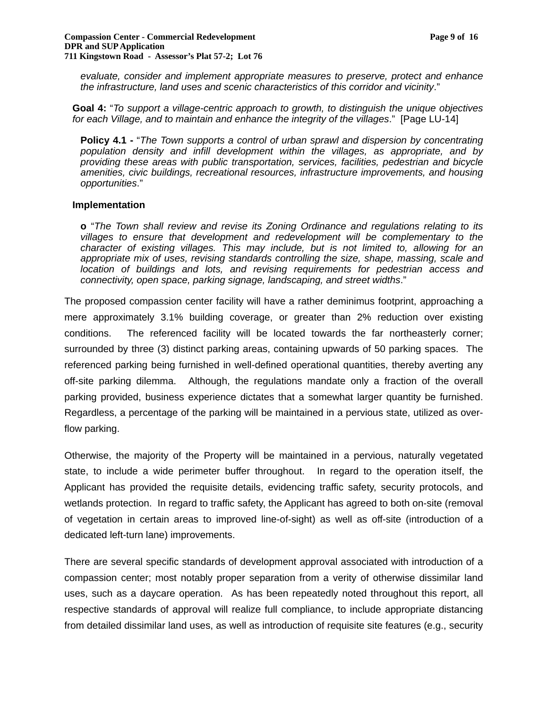#### **Compassion Center - Commercial Redevelopment Page 9 of 16 DPR and SUP Application 711 Kingstown Road - Assessor's Plat 57-2; Lot 76**

*evaluate, consider and implement appropriate measures to preserve, protect and enhance the infrastructure, land uses and scenic characteristics of this corridor and vicinity*."

**Goal 4:** "*To support a village-centric approach to growth, to distinguish the unique objectives for each Village, and to maintain and enhance the integrity of the villages*." [Page LU-14]

**Policy 4.1 -** "*The Town supports a control of urban sprawl and dispersion by concentrating population density and infill development within the villages, as appropriate, and by providing these areas with public transportation, services, facilities, pedestrian and bicycle amenities, civic buildings, recreational resources, infrastructure improvements, and housing opportunities*."

### **Implementation**

**o** "*The Town shall review and revise its Zoning Ordinance and regulations relating to its villages to ensure that development and redevelopment will be complementary to the character of existing villages. This may include, but is not limited to, allowing for an appropriate mix of uses, revising standards controlling the size, shape, massing, scale and location of buildings and lots, and revising requirements for pedestrian access and connectivity, open space, parking signage, landscaping, and street widths*."

The proposed compassion center facility will have a rather deminimus footprint, approaching a mere approximately 3.1% building coverage, or greater than 2% reduction over existing conditions. The referenced facility will be located towards the far northeasterly corner; surrounded by three (3) distinct parking areas, containing upwards of 50 parking spaces. The referenced parking being furnished in well-defined operational quantities, thereby averting any off-site parking dilemma. Although, the regulations mandate only a fraction of the overall parking provided, business experience dictates that a somewhat larger quantity be furnished. Regardless, a percentage of the parking will be maintained in a pervious state, utilized as overflow parking.

Otherwise, the majority of the Property will be maintained in a pervious, naturally vegetated state, to include a wide perimeter buffer throughout. In regard to the operation itself, the Applicant has provided the requisite details, evidencing traffic safety, security protocols, and wetlands protection. In regard to traffic safety, the Applicant has agreed to both on-site (removal of vegetation in certain areas to improved line-of-sight) as well as off-site (introduction of a dedicated left-turn lane) improvements.

There are several specific standards of development approval associated with introduction of a compassion center; most notably proper separation from a verity of otherwise dissimilar land uses, such as a daycare operation. As has been repeatedly noted throughout this report, all respective standards of approval will realize full compliance, to include appropriate distancing from detailed dissimilar land uses, as well as introduction of requisite site features (e.g., security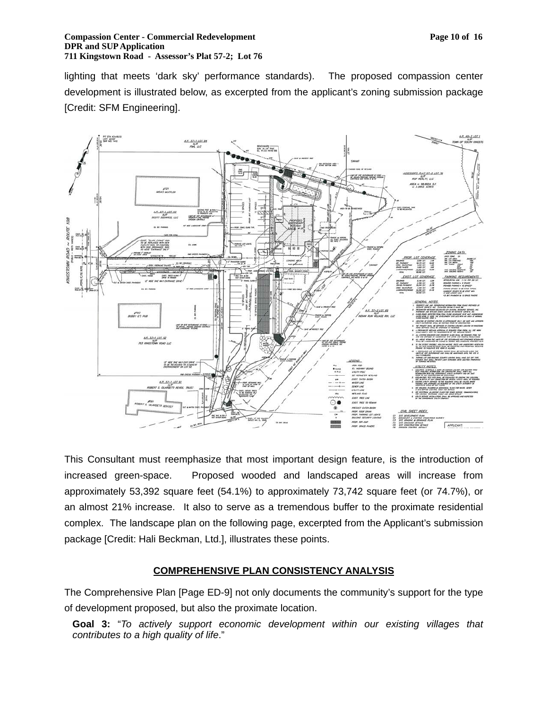#### **Compassion Center - Commercial Redevelopment Page 10 of 16 Page 10 of 16 Page 10 of 16 Page 10 of 16 Page 10 of 16 Page 10 of 16 Page 10 of 16 Page 10 of 16 Page 10 of 16 Page 10 of 16 Page 10 of 16 Page 10 of 16 Page 10 DPR and SUP Application 711 Kingstown Road - Assessor's Plat 57-2; Lot 76**

lighting that meets 'dark sky' performance standards). The proposed compassion center development is illustrated below, as excerpted from the applicant's zoning submission package [Credit: SFM Engineering].



This Consultant must reemphasize that most important design feature, is the introduction of increased green-space. Proposed wooded and landscaped areas will increase from approximately 53,392 square feet (54.1%) to approximately 73,742 square feet (or 74.7%), or an almost 21% increase. It also to serve as a tremendous buffer to the proximate residential complex. The landscape plan on the following page, excerpted from the Applicant's submission package [Credit: Hali Beckman, Ltd.], illustrates these points.

# **COMPREHENSIVE PLAN CONSISTENCY ANALYSIS**

The Comprehensive Plan [Page ED-9] not only documents the community's support for the type of development proposed, but also the proximate location.

**Goal 3:** "*To actively support economic development within our existing villages that contributes to a high quality of life*."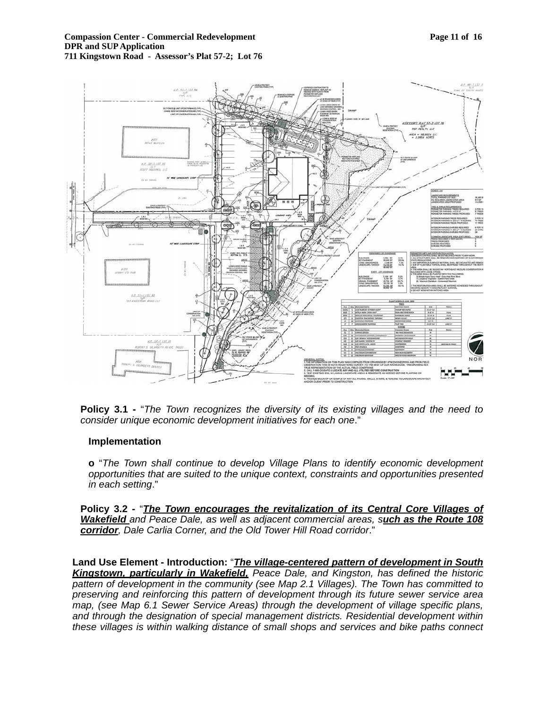#### **Compassion Center - Commercial Redevelopment Page 11 of 16 Page 11 of 16 Page 11 of 16 Page 11 of 16 Page 11 of 16 Page 11 of 16 Page 11 of 16 Page 11 of 16 Page 11 of 16 Page 11 of 16 Page 11 of 16 Page 11 of 16 Page 11 DPR and SUP Application 711 Kingstown Road - Assessor's Plat 57-2; Lot 76**



**Policy 3.1 -** "*The Town recognizes the diversity of its existing villages and the need to consider unique economic development initiatives for each one*."

### **Implementation**

**o** "*The Town shall continue to develop Village Plans to identify economic development opportunities that are suited to the unique context, constraints and opportunities presented in each setting*."

**Policy 3.2 -** "*The Town encourages the revitalization of its Central Core Villages of Wakefield and Peace Dale, as well as adjacent commercial areas, such as the Route 108 corridor, Dale Carlia Corner, and the Old Tower Hill Road corridor*."

**Land Use Element - Introduction:** "*The village-centered pattern of development in South Kingstown, particularly in Wakefield, Peace Dale, and Kingston, has defined the historic pattern of development in the community (see Map 2.1 Villages). The Town has committed to preserving and reinforcing this pattern of development through its future sewer service area map, (see Map 6.1 Sewer Service Areas) through the development of village specific plans, and through the designation of special management districts. Residential development within these villages is within walking distance of small shops and services and bike paths connect*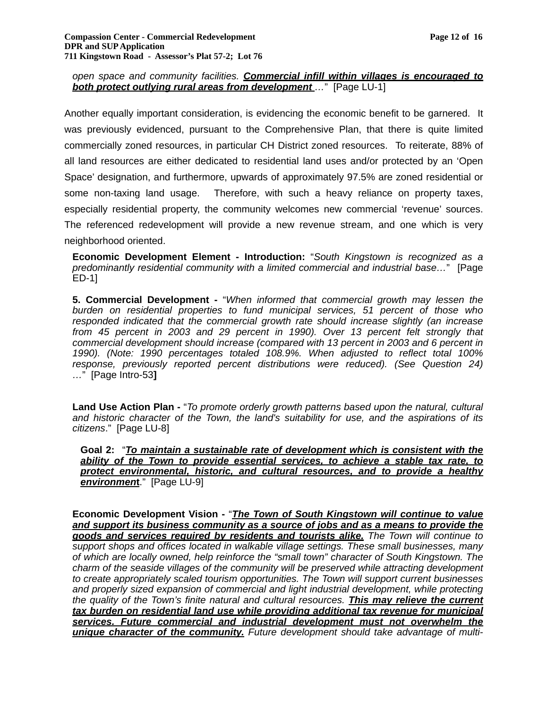# *open space and community facilities. Commercial infill within villages is encouraged to both protect outlying rural areas from development …*" [Page LU-1]

Another equally important consideration, is evidencing the economic benefit to be garnered. It was previously evidenced, pursuant to the Comprehensive Plan, that there is quite limited commercially zoned resources, in particular CH District zoned resources. To reiterate, 88% of all land resources are either dedicated to residential land uses and/or protected by an 'Open Space' designation, and furthermore, upwards of approximately 97.5% are zoned residential or some non-taxing land usage. Therefore, with such a heavy reliance on property taxes, especially residential property, the community welcomes new commercial 'revenue' sources. The referenced redevelopment will provide a new revenue stream, and one which is very neighborhood oriented.

**Economic Development Element - Introduction:** "*South Kingstown is recognized as a predominantly residential community with a limited commercial and industrial base…*" [Page ED-1]

**5. Commercial Development -** "*When informed that commercial growth may lessen the burden on residential properties to fund municipal services, 51 percent of those who responded indicated that the commercial growth rate should increase slightly (an increase from 45 percent in 2003 and 29 percent in 1990). Over 13 percent felt strongly that commercial development should increase (compared with 13 percent in 2003 and 6 percent in 1990). (Note: 1990 percentages totaled 108.9%. When adjusted to reflect total 100% response, previously reported percent distributions were reduced). (See Question 24) …*" [Page Intro-53**]** 

**Land Use Action Plan -** "*To promote orderly growth patterns based upon the natural, cultural and historic character of the Town, the land's suitability for use, and the aspirations of its citizens*." [Page LU-8]

**Goal 2:** "*To maintain a sustainable rate of development which is consistent with the ability of the Town to provide essential services, to achieve a stable tax rate, to protect environmental, historic, and cultural resources, and to provide a healthy environmen***t**." [Page LU-9]

**Economic Development Vision -** "*The Town of South Kingstown will continue to value and support its business community as a source of jobs and as a means to provide the goods and services required by residents and tourists alike. The Town will continue to support shops and offices located in walkable village settings. These small businesses, many of which are locally owned, help reinforce the "small town" character of South Kingstown. The charm of the seaside villages of the community will be preserved while attracting development to create appropriately scaled tourism opportunities. The Town will support current businesses and properly sized expansion of commercial and light industrial development, while protecting the quality of the Town's finite natural and cultural resources. This may relieve the current tax burden on residential land use while providing additional tax revenue for municipal services. Future commercial and industrial development must not overwhelm the unique character of the community. Future development should take advantage of multi-*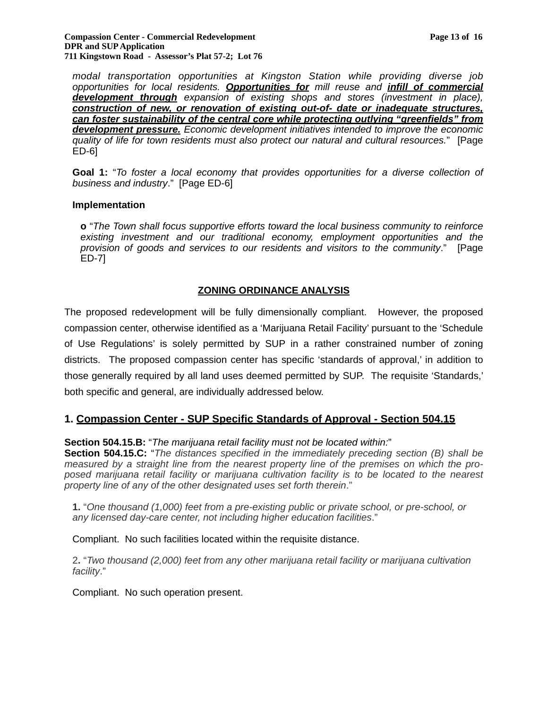#### **Compassion Center - Commercial Redevelopment Page 13 of 16 Page 13 of 16 DPR and SUP Application 711 Kingstown Road - Assessor's Plat 57-2; Lot 76**

*modal transportation opportunities at Kingston Station while providing diverse job opportunities for local residents. Opportunities for mill reuse and infill of commercial development through expansion of existing shops and stores (investment in place), construction of new, or renovation of existing out-of- date or inadequate structures, can foster sustainability of the central core while protecting outlying "greenfields" from development pressure. Economic development initiatives intended to improve the economic quality of life for town residents must also protect our natural and cultural resources.*" [Page ED-6]

**Goal 1:** "*To foster a local economy that provides opportunities for a diverse collection of business and industry*." [Page ED-6]

### **Implementation**

**o** "*The Town shall focus supportive efforts toward the local business community to reinforce existing investment and our traditional economy, employment opportunities and the provision of goods and services to our residents and visitors to the community*." [Page ED-7]

# **ZONING ORDINANCE ANALYSIS**

The proposed redevelopment will be fully dimensionally compliant. However, the proposed compassion center, otherwise identified as a 'Marijuana Retail Facility' pursuant to the 'Schedule of Use Regulations' is solely permitted by SUP in a rather constrained number of zoning districts. The proposed compassion center has specific 'standards of approval,' in addition to those generally required by all land uses deemed permitted by SUP. The requisite 'Standards,' both specific and general, are individually addressed below.

# **1. Compassion Center - SUP Specific Standards of Approval - Section 504.15**

### **Section 504.15.B:** "*The marijuana retail facility must not be located within:*"

**Section 504.15.C:** "*The distances specified in the immediately preceding section (B) shall be measured by a straight line from the nearest property line of the premises on which the proposed marijuana retail facility or marijuana cultivation facility is to be located to the nearest property line of any of the other designated uses set forth therein*."

**1.** "*One thousand (1,000) feet from a pre-existing public or private school, or pre-school, or any licensed day-care center, not including higher education facilities*."

Compliant. No such facilities located within the requisite distance.

2**.** "*Two thousand (2,000) feet from any other marijuana retail facility or marijuana cultivation facility*."

Compliant. No such operation present.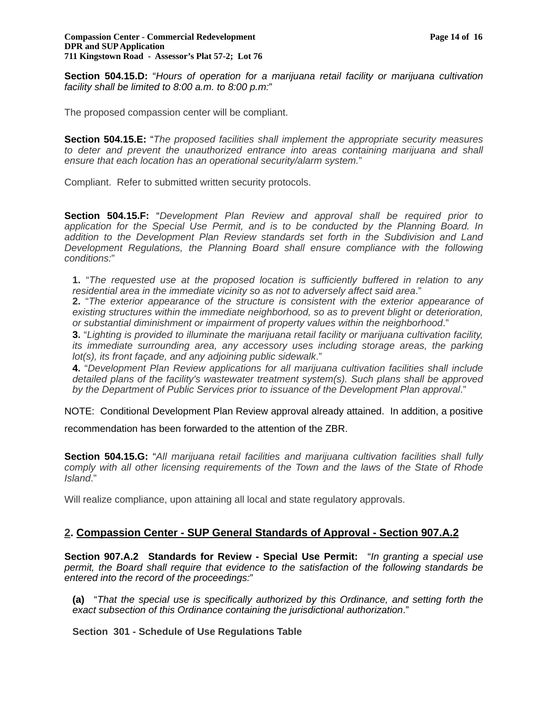**Section 504.15.D:** "*Hours of operation for a marijuana retail facility or marijuana cultivation facility shall be limited to 8:00 a.m. to 8:00 p.m:*"

The proposed compassion center will be compliant.

**Section 504.15.E:** "*The proposed facilities shall implement the appropriate security measures*  to deter and prevent the unauthorized entrance into areas containing marijuana and shall *ensure that each location has an operational security/alarm system.*"

Compliant. Refer to submitted written security protocols.

**Section 504.15.F:** "*Development Plan Review and approval shall be required prior to application for the Special Use Permit, and is to be conducted by the Planning Board. In addition to the Development Plan Review standards set forth in the Subdivision and Land Development Regulations, the Planning Board shall ensure compliance with the following conditions:*"

**1.** "*The requested use at the proposed location is sufficiently buffered in relation to any residential area in the immediate vicinity so as not to adversely affect said area*."

**2.** "*The exterior appearance of the structure is consistent with the exterior appearance of existing structures within the immediate neighborhood, so as to prevent blight or deterioration, or substantial diminishment or impairment of property values within the neighborhood*."

**3.** "*Lighting is provided to illuminate the marijuana retail facility or marijuana cultivation facility, its immediate surrounding area, any accessory uses including storage areas, the parking lot(s), its front façade, and any adjoining public sidewalk*."

**4.** "*Development Plan Review applications for all marijuana cultivation facilities shall include detailed plans of the facility's wastewater treatment system(s). Such plans shall be approved by the Department of Public Services prior to issuance of the Development Plan approval*."

NOTE: Conditional Development Plan Review approval already attained. In addition, a positive recommendation has been forwarded to the attention of the ZBR.

**Section 504.15.G:** "*All marijuana retail facilities and marijuana cultivation facilities shall fully comply with all other licensing requirements of the Town and the laws of the State of Rhode Island*."

Will realize compliance, upon attaining all local and state regulatory approvals.

# **2. Compassion Center - SUP General Standards of Approval - Section 907.A.2**

**Section 907.A.2 Standards for Review - Special Use Permit:** "*In granting a special use permit, the Board shall require that evidence to the satisfaction of the following standards be entered into the record of the proceedings:*"

**(a)** "*That the special use is specifically authorized by this Ordinance, and setting forth the exact subsection of this Ordinance containing the jurisdictional authorization*."

**Section 301 - Schedule of Use Regulations Table**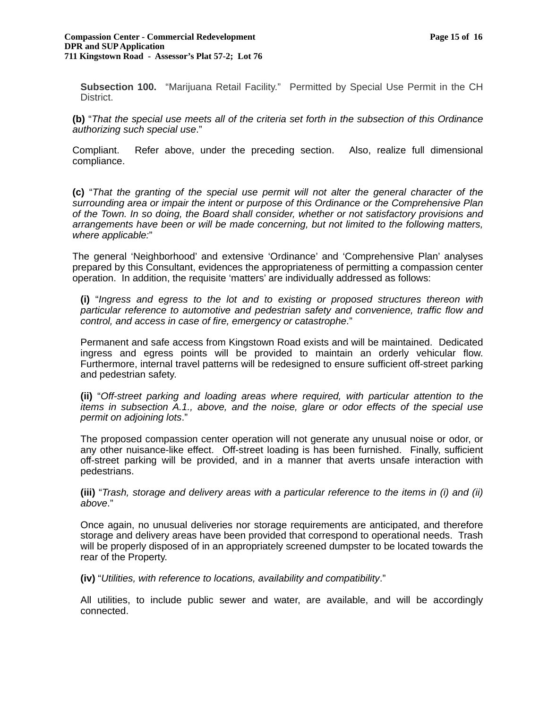**Subsection 100.** "Marijuana Retail Facility." Permitted by Special Use Permit in the CH District.

**(b)** "*That the special use meets all of the criteria set forth in the subsection of this Ordinance authorizing such special use*."

Compliant. Refer above, under the preceding section. Also, realize full dimensional compliance.

**(c)** "*That the granting of the special use permit will not alter the general character of the surrounding area or impair the intent or purpose of this Ordinance or the Comprehensive Plan of the Town. In so doing, the Board shall consider, whether or not satisfactory provisions and arrangements have been or will be made concerning, but not limited to the following matters, where applicable:*"

The general 'Neighborhood' and extensive 'Ordinance' and 'Comprehensive Plan' analyses prepared by this Consultant, evidences the appropriateness of permitting a compassion center operation. In addition, the requisite 'matters' are individually addressed as follows:

**(i)** "*Ingress and egress to the lot and to existing or proposed structures thereon with particular reference to automotive and pedestrian safety and convenience, traffic flow and control, and access in case of fire, emergency or catastrophe*."

Permanent and safe access from Kingstown Road exists and will be maintained. Dedicated ingress and egress points will be provided to maintain an orderly vehicular flow. Furthermore, internal travel patterns will be redesigned to ensure sufficient off-street parking and pedestrian safety.

**(ii)** "*Off-street parking and loading areas where required, with particular attention to the items in subsection A.1., above, and the noise, glare or odor effects of the special use permit on adjoining lots*."

The proposed compassion center operation will not generate any unusual noise or odor, or any other nuisance-like effect. Off-street loading is has been furnished. Finally, sufficient off-street parking will be provided, and in a manner that averts unsafe interaction with pedestrians.

**(iii)** "*Trash, storage and delivery areas with a particular reference to the items in (i) and (ii) above*."

Once again, no unusual deliveries nor storage requirements are anticipated, and therefore storage and delivery areas have been provided that correspond to operational needs. Trash will be properly disposed of in an appropriately screened dumpster to be located towards the rear of the Property.

**(iv)** "*Utilities, with reference to locations, availability and compatibility*."

All utilities, to include public sewer and water, are available, and will be accordingly connected.